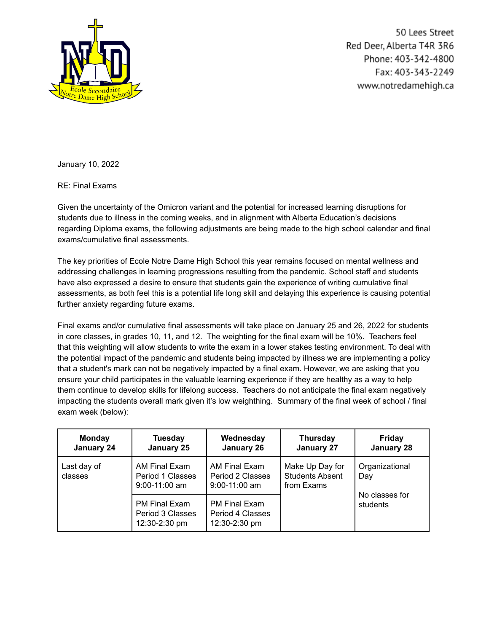

50 Lees Street Red Deer, Alberta T4R 3R6 Phone: 403-342-4800 Fax: 403-343-2249 www.notredamehigh.ca

January 10, 2022

RE: Final Exams

Given the uncertainty of the Omicron variant and the potential for increased learning disruptions for students due to illness in the coming weeks, and in alignment with Alberta Education's decisions regarding Diploma exams, the following adjustments are being made to the high school calendar and final exams/cumulative final assessments.

The key priorities of Ecole Notre Dame High School this year remains focused on mental wellness and addressing challenges in learning progressions resulting from the pandemic. School staff and students have also expressed a desire to ensure that students gain the experience of writing cumulative final assessments, as both feel this is a potential life long skill and delaying this experience is causing potential further anxiety regarding future exams.

Final exams and/or cumulative final assessments will take place on January 25 and 26, 2022 for students in core classes, in grades 10, 11, and 12. The weighting for the final exam will be 10%. Teachers feel that this weighting will allow students to write the exam in a lower stakes testing environment. To deal with the potential impact of the pandemic and students being impacted by illness we are implementing a policy that a student's mark can not be negatively impacted by a final exam. However, we are asking that you ensure your child participates in the valuable learning experience if they are healthy as a way to help them continue to develop skills for lifelong success. Teachers do not anticipate the final exam negatively impacting the students overall mark given it's low weighthing. Summary of the final week of school / final exam week (below):

| <b>Monday</b><br>January 24 | <b>Tuesday</b><br>January 25                              | Wednesday<br>January 26                                   | <b>Thursday</b><br>January 27                           | <b>Friday</b><br>January 28 |
|-----------------------------|-----------------------------------------------------------|-----------------------------------------------------------|---------------------------------------------------------|-----------------------------|
| Last day of<br>classes      | AM Final Exam<br>Period 1 Classes<br>$9:00-11:00$ am      | AM Final Exam<br>Period 2 Classes<br>$9:00-11:00$ am      | Make Up Day for<br><b>Students Absent</b><br>from Exams | Organizational<br>Day       |
|                             | <b>PM Final Exam</b><br>Period 3 Classes<br>12:30-2:30 pm | <b>PM Final Exam</b><br>Period 4 Classes<br>12:30-2:30 pm |                                                         | No classes for<br>students  |